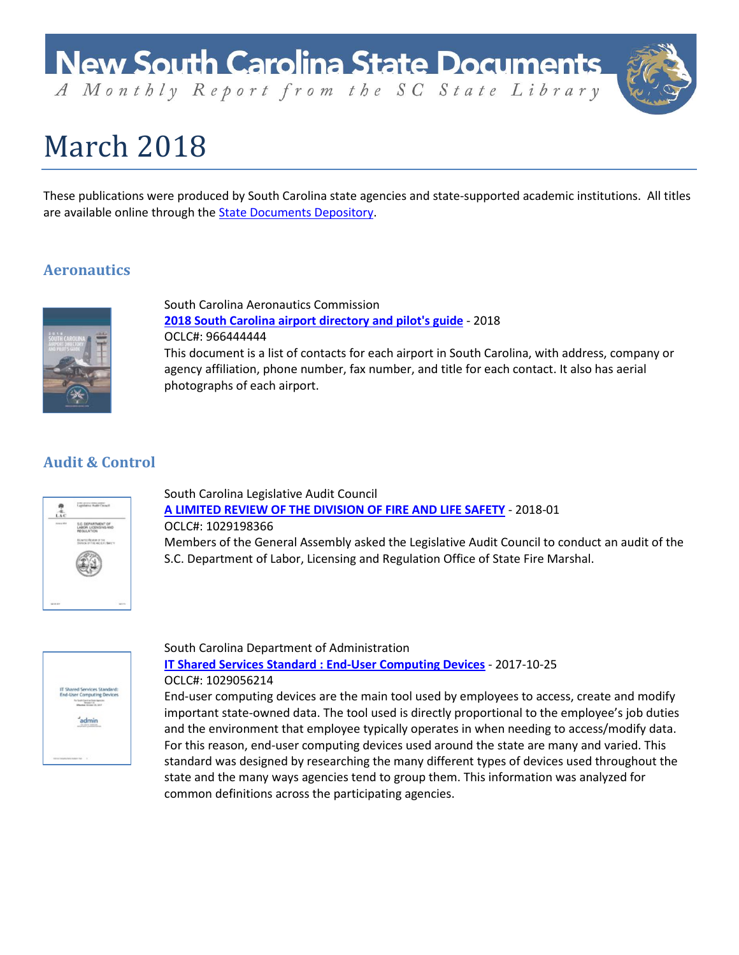

# March 2018

These publications were produced by South Carolina state agencies and state-supported academic institutions. All titles are available online through the **State Documents Depository**.

## **Aeronautics**



South Carolina Aeronautics Commission **[2018 South Carolina airport directory and pilot's guide](https://dc.statelibrary.sc.gov/handle/10827/26516)** - 2018 OCLC#: 966444444 This document is a list of contacts for each airport in South Carolina, with address, company or agency affiliation, phone number, fax number, and title for each contact. It also has aerial photographs of each airport.

## **Audit & Control**



South Carolina Legislative Audit Council **[A LIMITED REVIEW OF THE DIVISION OF FIRE AND LIFE SAFETY](https://dc.statelibrary.sc.gov/handle/10827/26655)** - 2018-01 OCLC#: 1029198366 Members of the General Assembly asked the Legislative Audit Council to conduct an audit of the S.C. Department of Labor, Licensing and Regulation Office of State Fire Marshal.



South Carolina Department of Administration **[IT Shared Services Standard : End-User Computing Devices](https://dc.statelibrary.sc.gov/handle/10827/26651)** - 2017-10-25 OCLC#: 1029056214

End-user computing devices are the main tool used by employees to access, create and modify important state-owned data. The tool used is directly proportional to the employee's job duties and the environment that employee typically operates in when needing to access/modify data. For this reason, end-user computing devices used around the state are many and varied. This standard was designed by researching the many different types of devices used throughout the state and the many ways agencies tend to group them. This information was analyzed for common definitions across the participating agencies.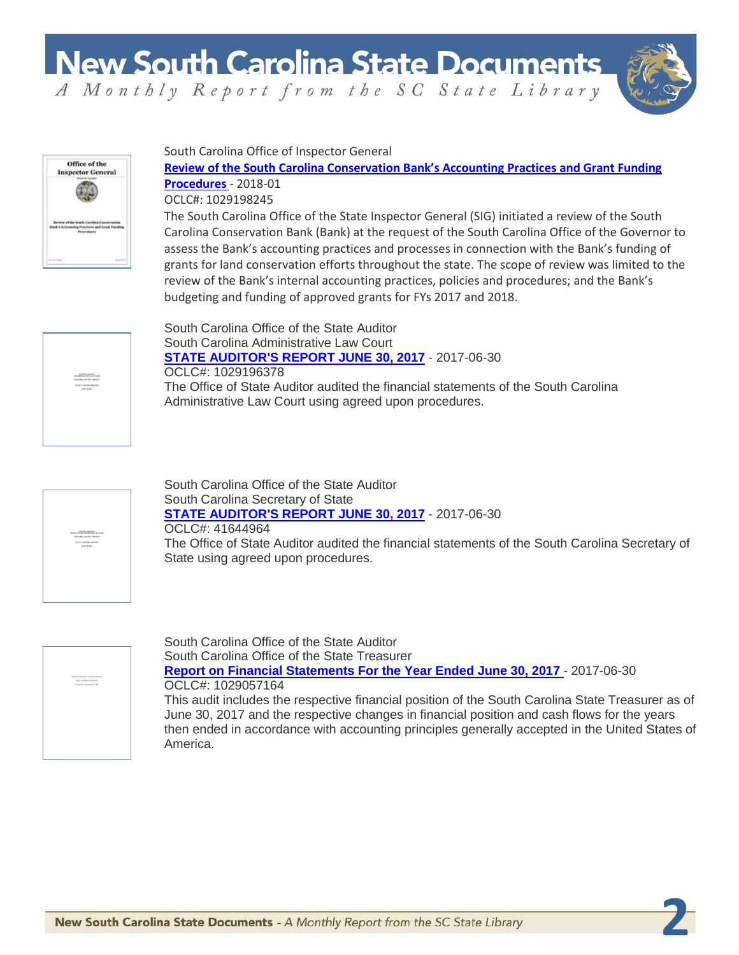**New South Carolina State Documents** 



**2**

A Monthly Report from the SC State Library



South Carolina Office of Inspector General

**[Review of the South Carolina Conservation Bank's Accounting Practices and Grant Funding](https://dc.statelibrary.sc.gov/handle/10827/26654)  [Procedures](https://dc.statelibrary.sc.gov/handle/10827/26654)** - 2018-01

OCLC#: 1029198245

The South Carolina Office of the State Inspector General (SIG) initiated a review of the South Carolina Conservation Bank (Bank) at the request of the South Carolina Office of the Governor to assess the Bank's accounting practices and processes in connection with the Bank's funding of grants for land conservation efforts throughout the state. The scope of review was limited to the review of the Bank's internal accounting practices, policies and procedures; and the Bank's budgeting and funding of approved grants for FYs 2017 and 2018.



South Carolina Office of the State Auditor South Carolina Administrative Law Court **[STATE AUDITOR'S REPORT JUNE 30, 2017](https://dc.statelibrary.sc.gov/handle/10827/26680)** - 2017-06-30 OCLC#: 1029196378 The Office of State Auditor audited the financial statements of the South Carolina Administrative Law Court using agreed upon procedures.



South Carolina Office of the State Auditor South Carolina Secretary of State **[STATE AUDITOR'S REPORT JUNE 30, 2017](https://dc.statelibrary.sc.gov/handle/10827/26681)** - 2017-06-30 OCLC#: 41644964 The Office of State Auditor audited the financial statements of the South Carolina Secretary of State using agreed upon procedures.



South Carolina Office of the State Auditor South Carolina Office of the State Treasurer **[Report on Financial Statements For the Year Ended June 30, 2017](https://dc.statelibrary.sc.gov/handle/10827/26682)** - 2017-06-30 OCLC#: 1029057164 This audit includes the respective financial position of the South Carolina State Treasurer as of June 30, 2017 and the respective changes in financial position and cash flows for the years then ended in accordance with accounting principles generally accepted in the United States of America.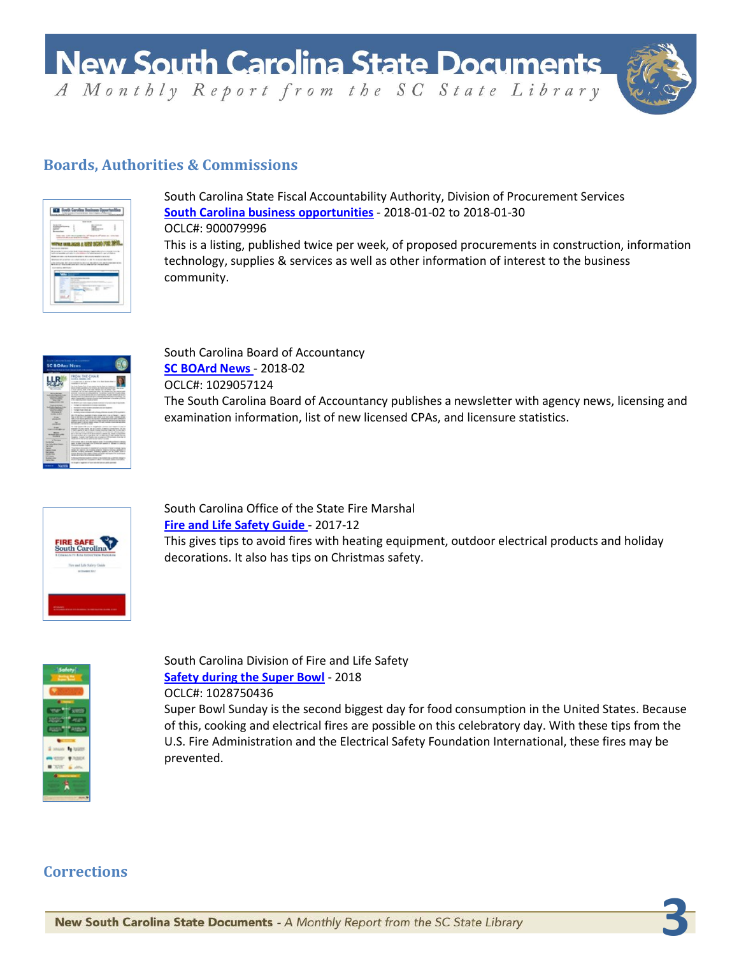**New South Carolina State Documents** 

A Monthly Report from the SC State Library



**3**

## **Boards, Authorities & Commissions**



South Carolina State Fiscal Accountability Authority, Division of Procurement Services **[South Carolina business opportunities](http://dc.statelibrary.sc.gov/handle/10827/24992)** - 2018-01-02 to 2018-01-30 OCLC#: 900079996 This is a listing, published twice per week, of proposed procurements in construction, information technology, supplies & services as well as other information of interest to the business community.



South Carolina Board of Accountancy **[SC BOArd News](https://dc.statelibrary.sc.gov/handle/10827/26657)** - 2018-02 OCLC#: 1029057124 The South Carolina Board of Accountancy publishes a newsletter with agency news, licensing and examination information, list of new licensed CPAs, and licensure statistics.



South Carolina Office of the State Fire Marshal **[Fire and Life Safety Guide](https://dc.statelibrary.sc.gov/handle/10827/26659)** - 2017-12 This gives tips to avoid fires with heating equipment, outdoor electrical products and holiday decorations. It also has tips on Christmas safety.



South Carolina Division of Fire and Life Safety **[Safety during the Super Bowl](https://dc.statelibrary.sc.gov/handle/10827/26658)** - 2018 OCLC#: 1028750436

Super Bowl Sunday is the second biggest day for food consumption in the United States. Because of this, cooking and electrical fires are possible on this celebratory day. With these tips from the U.S. Fire Administration and the Electrical Safety Foundation International, these fires may be prevented.

## **Corrections**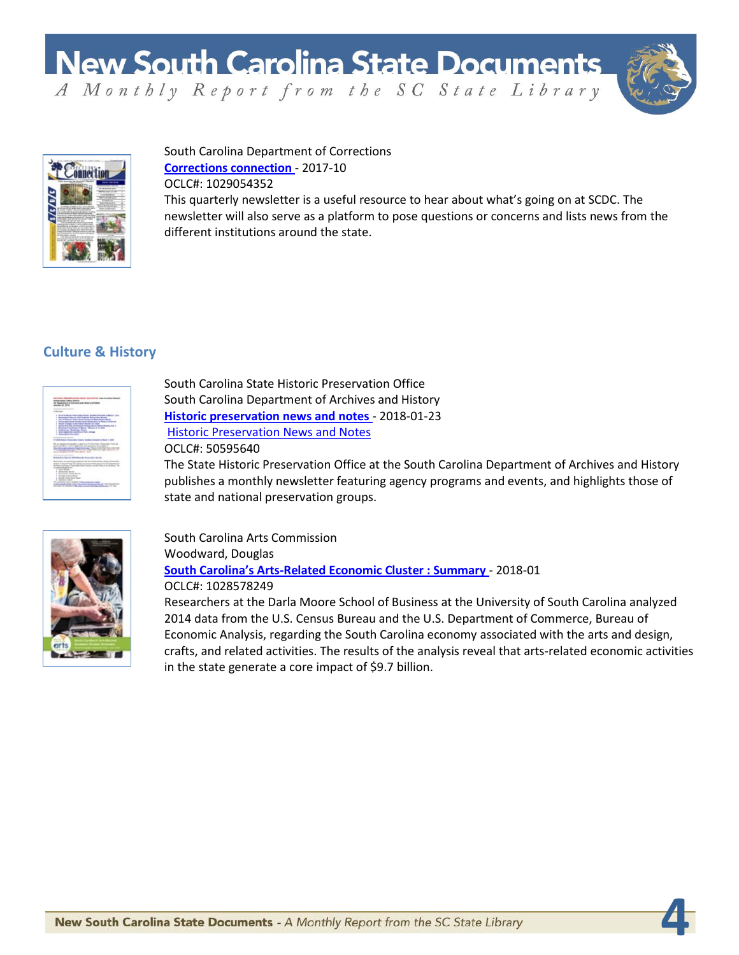

**4**



#### South Carolina Department of Corrections **[Corrections connection](https://dc.statelibrary.sc.gov/handle/10827/26638)** - 2017-10 OCLC#: 1029054352

This quarterly newsletter is a useful resource to hear about what's going on at SCDC. The newsletter will also serve as a platform to pose questions or concerns and lists news from the different institutions around the state.

## **Culture & History**



South Carolina State Historic Preservation Office South Carolina Department of Archives and History **[Historic preservation news and notes](https://dc.statelibrary.sc.gov/handle/10827/26547)** - 2018-01-23 Historic [Preservation News and Notes](https://dc.statelibrary.sc.gov/handle/10827/15075) OCLC#: 50595640

The State Historic Preservation Office at the South Carolina Department of Archives and History publishes a monthly newsletter featuring agency programs and events, and highlights those of state and national preservation groups.



South Carolina Arts Commission Woodward, Douglas **[South Carolina's Arts-Related Economic Cluster : Summary](https://dc.statelibrary.sc.gov/handle/10827/26564)** - 2018-01 OCLC#: 1028578249

Researchers at the Darla Moore School of Business at the University of South Carolina analyzed 2014 data from the U.S. Census Bureau and the U.S. Department of Commerce, Bureau of Economic Analysis, regarding the South Carolina economy associated with the arts and design, crafts, and related activities. The results of the analysis reveal that arts-related economic activities in the state generate a core impact of \$9.7 billion.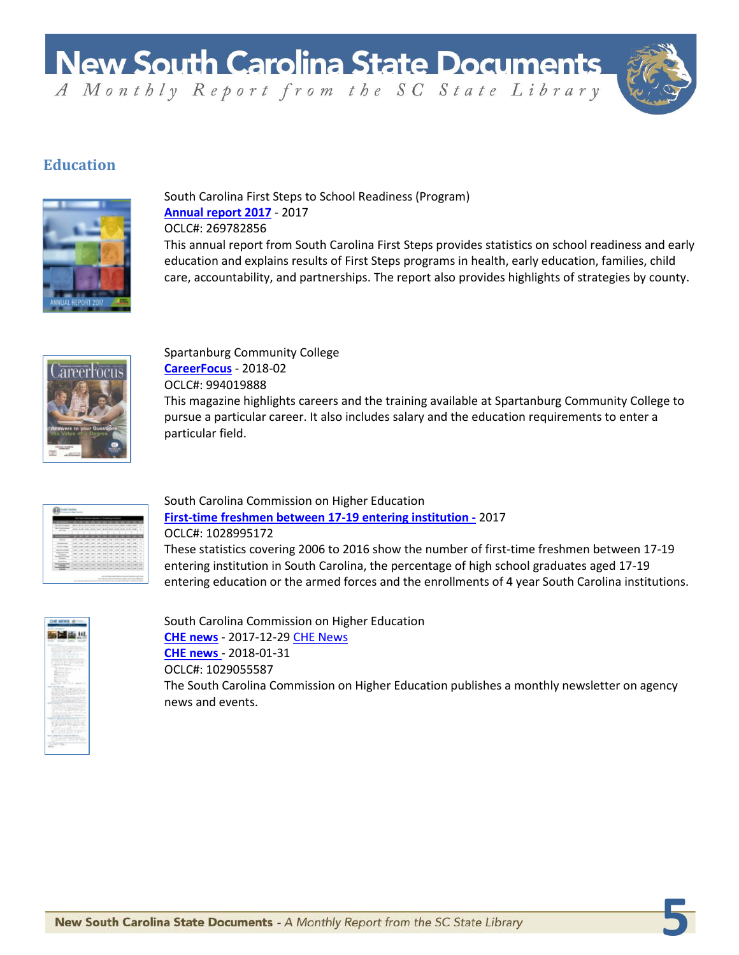

**5**

## **Education**



South Carolina First Steps to School Readiness (Program) **Annual report 2017** - 2017 OCLC#: 269782856 This annual report from South Carolina First Steps provides statistics on school readiness and early education and explains results of First Steps programs in health, early education, families, child

Spartanburg Community College **[CareerFocus](https://dc.statelibrary.sc.gov/handle/10827/26552)** - 2018-02 OCLC#: 994019888 This magazine highlights careers and the training available at Spartanburg Community College to pursue a particular career. It also includes salary and the education requirements to enter a particular field.

care, accountability, and partnerships. The report also provides highlights of strategies by county.

| n                                               |                |      | ÷           |          |               |                     |              |              | ÷            |              |                |                    |
|-------------------------------------------------|----------------|------|-------------|----------|---------------|---------------------|--------------|--------------|--------------|--------------|----------------|--------------------|
| man na                                          |                |      |             |          |               |                     |              |              |              |              |                | ۰                  |
| <b>NATIONALISM INC.</b><br><b>COLOR</b>         |                |      |             |          |               |                     | Laure)       |              |              |              | <b>HARRY</b>   | $\sim$             |
|                                                 |                |      |             |          |               |                     |              |              |              |              |                |                    |
| <b>Service</b>                                  | <b>Texas</b>   |      | -           | -        | -             | <b>The Contract</b> | -            | -            |              | -            | -              | -<br>=             |
|                                                 | -              |      | --          | --       | $\cdots$      |                     | <b>Allen</b> |              | --           | --           | -              | $\rightarrow$<br>÷ |
| <b>Scheduled</b>                                | -              |      |             | $-$      | --            |                     | $-0.00$      |              | ۰            | ÷            | -              | $\rightarrow$      |
| <b>Low College Rd</b>                           | <b>Card</b>    | $-1$ | $\sim$      | sun 1    | <b>Gold</b>   | <b>CALL</b>         | <b>LAND</b>  | 4.99         | $-4$         | <b>Links</b> | <b>HOME</b>    | $\rightarrow$      |
| <b>Manufact Scient</b>                          | $\sim$         |      | --          | $\cdots$ | ۰             | $\cdots$            | $-$          | --           |              | 4.04         | 44             | a.                 |
| <b>EXCHAUTO AT RIGHT</b><br><b>School Color</b> | <b>Links</b>   | ٠    | 1,410       | $-100$   | <b>ATTACK</b> | <b>Harry</b>        | <b>LOW</b>   | 100          | <b>SALE</b>  | 5.00         | $-100$         | $\sim$             |
| <b>Service Street</b>                           | 14             | ٠    | <b>Lake</b> | -        | <b>CALL</b>   | 1 a con             | <b>Lake</b>  | <b>Latin</b> | Links        | 194          | <b>COMPANY</b> | <b>Side</b>        |
| <b>Northern State</b><br><b>Kanadian</b>        | <b>ALCOHOL</b> |      |             | 550      | --            |                     | <b>THE</b>   | --           | -            | <b>STATE</b> | --             | $\sim$             |
| <b>Review and Service</b>                       |                |      |             |          |               |                     | <b>SHOW</b>  | 1000         | <b>SALES</b> | <b>CALL</b>  | $-$            | $-1$               |

South Carolina Commission on Higher Education **[First-time freshmen between 17-19 entering institution -](https://dc.statelibrary.sc.gov/handle/10827/26636)** 2017 OCLC#: 1028995172

These statistics covering 2006 to 2016 show the number of first-time freshmen between 17-19 entering institution in South Carolina, the percentage of high school graduates aged 17-19 entering education or the armed forces and the enrollments of 4 year South Carolina institutions.

| m<br>×<br>ï<br>m<br>۰<br>--<br>۰ |
|----------------------------------|
| ٠<br>- 7                         |
| s a<br>o                         |
|                                  |
| w<br>w<br>m<br>٠                 |
|                                  |
| n<br>v                           |
|                                  |

South Carolina Commission on Higher Education **[CHE news](https://dc.statelibrary.sc.gov/handle/10827/26640)** - 2017-12-29 [CHE News](https://dc.statelibrary.sc.gov/handle/10827/26510) **[CHE news](https://dc.statelibrary.sc.gov/handle/10827/26641)** - 2018-01-31 OCLC#: 1029055587 The South Carolina Commission on Higher Education publishes a monthly newsletter on agency news and events.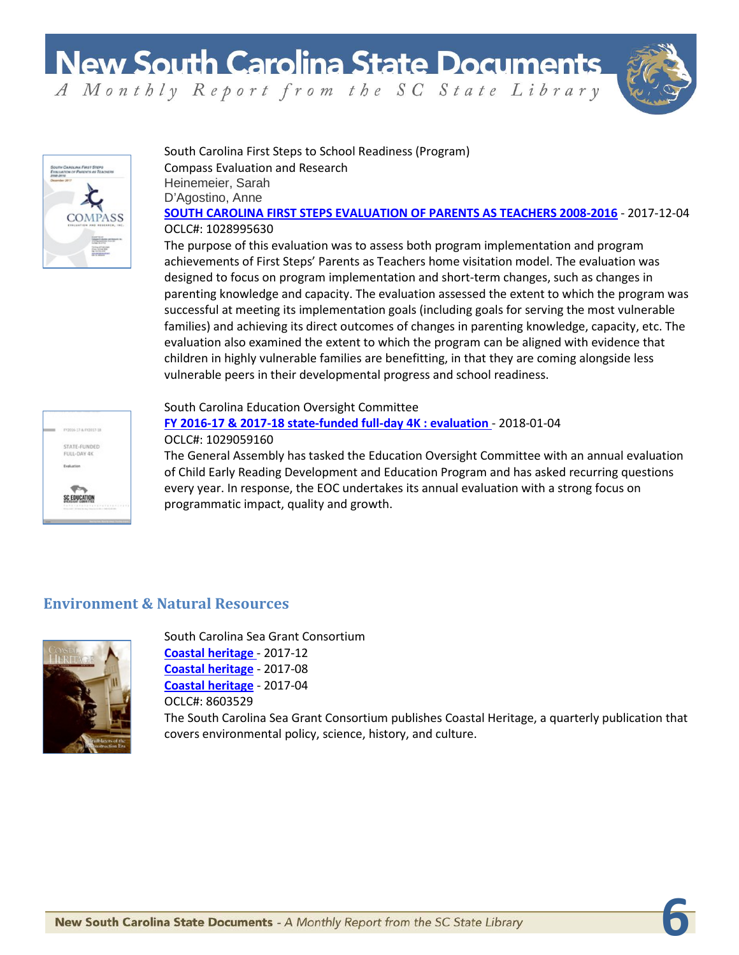**6**



#### South Carolina First Steps to School Readiness (Program) Compass Evaluation and Research Heinemeier, Sarah D'Agostino, Anne **[SOUTH CAROLINA FIRST STEPS EVALUATION OF PARENTS AS TEACHERS 2008-2016](https://dc.statelibrary.sc.gov/handle/10827/26643)** - 2017-12-04 OCLC#: 1028995630

The purpose of this evaluation was to assess both program implementation and program achievements of First Steps' Parents as Teachers home visitation model. The evaluation was designed to focus on program implementation and short-term changes, such as changes in parenting knowledge and capacity. The evaluation assessed the extent to which the program was successful at meeting its implementation goals (including goals for serving the most vulnerable families) and achieving its direct outcomes of changes in parenting knowledge, capacity, etc. The evaluation also examined the extent to which the program can be aligned with evidence that children in highly vulnerable families are benefitting, in that they are coming alongside less vulnerable peers in their developmental progress and school readiness.



#### South Carolina Education Oversight Committee **[FY 2016-17 & 2017-18 state-funded full-day 4K : evaluation](https://dc.statelibrary.sc.gov/handle/10827/26650)** - 2018-01-04 OCLC#: 1029059160

The General Assembly has tasked the Education Oversight Committee with an annual evaluation of Child Early Reading Development and Education Program and has asked recurring questions every year. In response, the EOC undertakes its annual evaluation with a strong focus on programmatic impact, quality and growth.

## **Environment & Natural Resources**



South Carolina Sea Grant Consortium **[Coastal heritage](https://dc.statelibrary.sc.gov/handle/10827/26513)** - 2017-12 **[Coastal heritage](https://dc.statelibrary.sc.gov/handle/10827/26514)** - 2017-08 **[Coastal heritage](https://dc.statelibrary.sc.gov/handle/10827/26513)** - 2017-04 OCLC#: 8603529 The South Carolina Sea Grant Consortium publishes Coastal Heritage, a quarterly publication that covers environmental policy, science, history, and culture.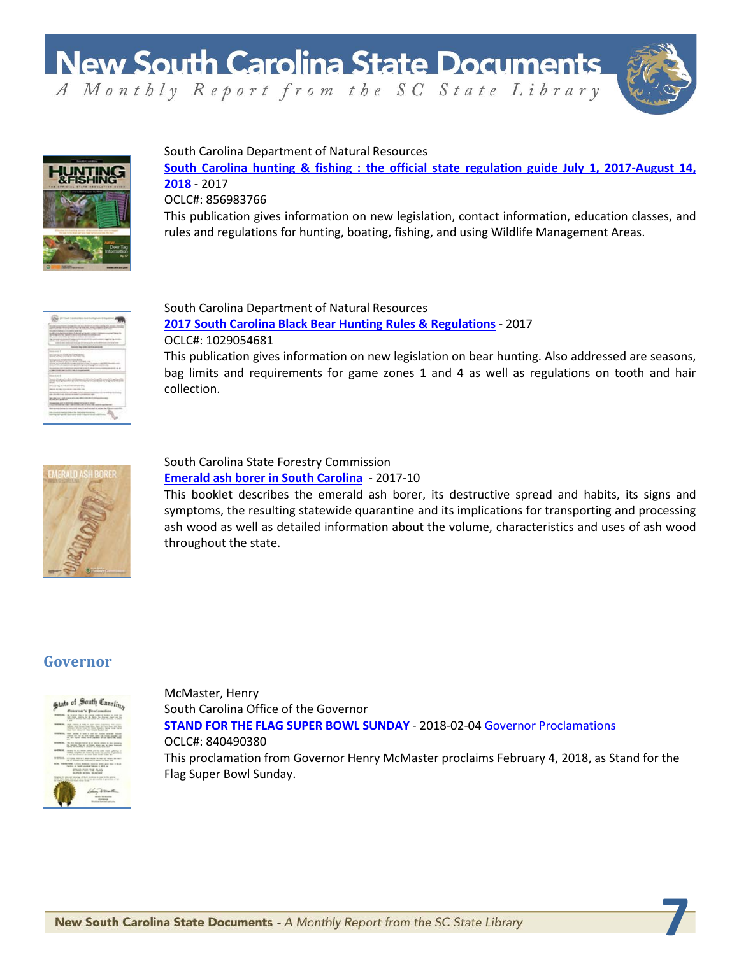

**7**



South Carolina Department of Natural Resources

**[South Carolina hunting & fishing : the official state regulation guide July 1, 2017-August 14,](https://dc.statelibrary.sc.gov/handle/10827/26562)  [2018](https://dc.statelibrary.sc.gov/handle/10827/26562)** - 2017 OCLC#: 856983766

This publication gives information on new legislation, contact information, education classes, and rules and regulations for hunting, boating, fishing, and using Wildlife Management Areas.



South Carolina Department of Natural Resources **[2017 South Carolina Black Bear Hunting Rules & Regulations](https://dc.statelibrary.sc.gov/handle/10827/26642)** - 2017 OCLC#: 1029054681 This publication gives information on new legislation on bear hunting. Also addressed are seasons,

bag limits and requirements for game zones 1 and 4 as well as regulations on tooth and hair collection.



#### South Carolina State Forestry Commission **[Emerald ash borer in South Carolina](https://dc.statelibrary.sc.gov/handle/10827/26567)** - 2017-10

This booklet describes the emerald ash borer, its destructive spread and habits, its signs and symptoms, the resulting statewide quarantine and its implications for transporting and processing ash wood as well as detailed information about the volume, characteristics and uses of ash wood throughout the state.

## **Governor**



McMaster, Henry South Carolina Office of the Governor **[STAND FOR THE FLAG SUPER BOWL SUNDAY](https://dc.statelibrary.sc.gov/handle/10827/26561)** - 2018-02-0[4 Governor Proclamations](https://dc.statelibrary.sc.gov/handle/10827/2538) OCLC#: 840490380 This proclamation from Governor Henry McMaster proclaims February 4, 2018, as Stand for the Flag Super Bowl Sunday.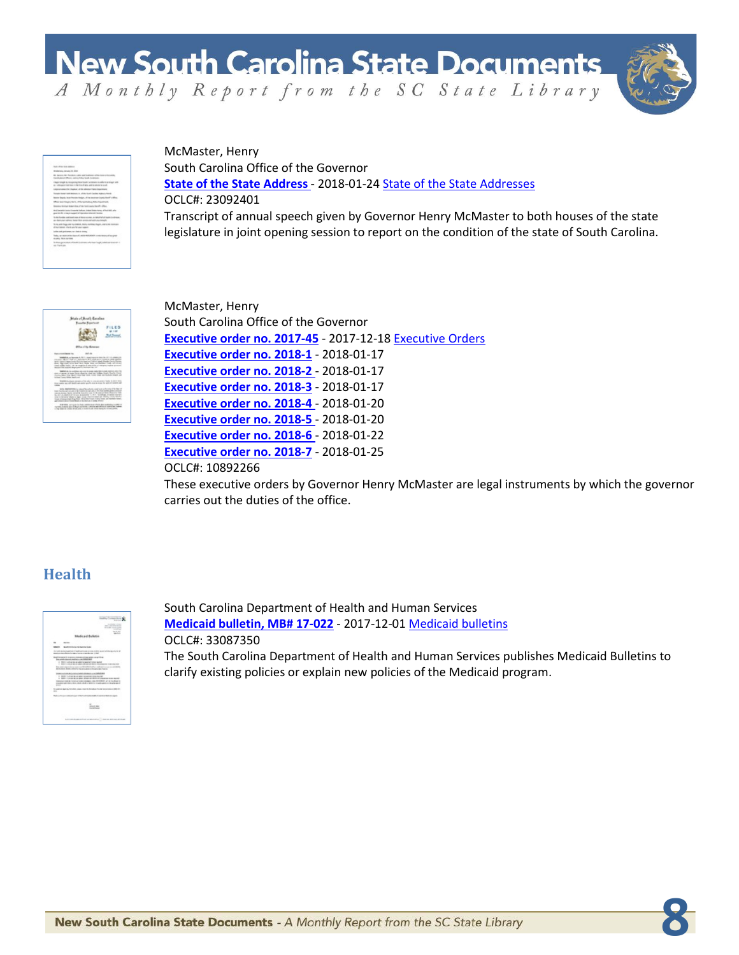

**8**

| their of the links antiques                                                                                                                                   |
|---------------------------------------------------------------------------------------------------------------------------------------------------------------|
| Welleton, Wage, R. Ster.                                                                                                                                      |
| W. Sprace, AA. Proclams, calmical Engineers of the Sons of Accords.<br>Constitutional Officers and the School South Constitution                              |
| I happingly to magnitudinate lands as a days a trace with<br>the continuance restriction in the first of April, and it consider to could                      |
| Listened school the Universal of the Adverse Valley Howwithway                                                                                                |
| Transit former both Motors, it can be look classified Material Prints                                                                                         |
| Warter Degedy Technikanske Hedgan, of the Amanuse County/Reself's Africa.                                                                                     |
| Office and Steph Sets. 4 No beneficially fields Capitrack.                                                                                                    |
| latester to that hope him, if the hot Look line if a silen.                                                                                                   |
| And became to excellence industry today home affect that when<br>plants #1 (class applied at largest singular builds)                                         |
| for the function conditioned come of Management etcay, on Harts of all all limited by editors in<br>an days your saless, have they are seen out as found out. |
| To the with Printer able that many are a company than to approve the monitory<br>should store information and copper.                                         |
| looks and pollooks, no state a strong                                                                                                                         |
| Today an excel list for a bank of your minority for a man terms of any and<br>more, lectures.                                                                 |
| To their generation of book designers who has "explicitable and intensi-<br>an Tarker                                                                         |

McMaster, Henry South Carolina Office of the Governor **[State of the State Address](https://dc.statelibrary.sc.gov/handle/10827/26566)** - 2018-01-24 [State of the State Addresses](https://dc.statelibrary.sc.gov/handle/10827/32) OCLC#: 23092401 Transcript of annual speech given by Governor Henry McMaster to both houses of the state legislature in joint opening session to report on the condition of the state of South Carolina.



McMaster, Henry South Carolina Office of the Governor **[Executive order no. 2017-45](https://dc.statelibrary.sc.gov/handle/10827/26553)** - 2017-12-18 [Executive Orders](http://dc.statelibrary.sc.gov/handle/10827/22) **[Executive order no. 2018-1](https://dc.statelibrary.sc.gov/handle/10827/26554)** - 2018-01-17 **[Executive order](https://dc.statelibrary.sc.gov/handle/10827/26555) no. 2018-2** - 2018-01-17 **[Executive order no. 2018-3](https://dc.statelibrary.sc.gov/handle/10827/26556)** - 2018-01-17 **[Executive order no. 2018-4](https://dc.statelibrary.sc.gov/handle/10827/26557)** - 2018-01-20 **[Executive order no. 2018-5](https://dc.statelibrary.sc.gov/handle/10827/26558)** - 2018-01-20 **[Executive order no. 2018-6](https://dc.statelibrary.sc.gov/handle/10827/26559)** - 2018-01-22 **[Executive order no. 2018-7](https://dc.statelibrary.sc.gov/handle/10827/26560)** - 2018-01-25 OCLC#: 10892266

These executive orders by Governor Henry McMaster are legal instruments by which the governor carries out the duties of the office.

## **Health**



South Carolina Department of Health and Human Services **[Medicaid bulletin, MB# 17-022](http://dc.statelibrary.sc.gov/handle/10827/18918)** - 2017-12-01 [Medicaid bulletins](http://dc.statelibrary.sc.gov/handle/10827/18918) OCLC#: 33087350 The South Carolina Department of Health and Human Services publishes Medicaid Bulletins to clarify existing policies or explain new policies of the Medicaid program.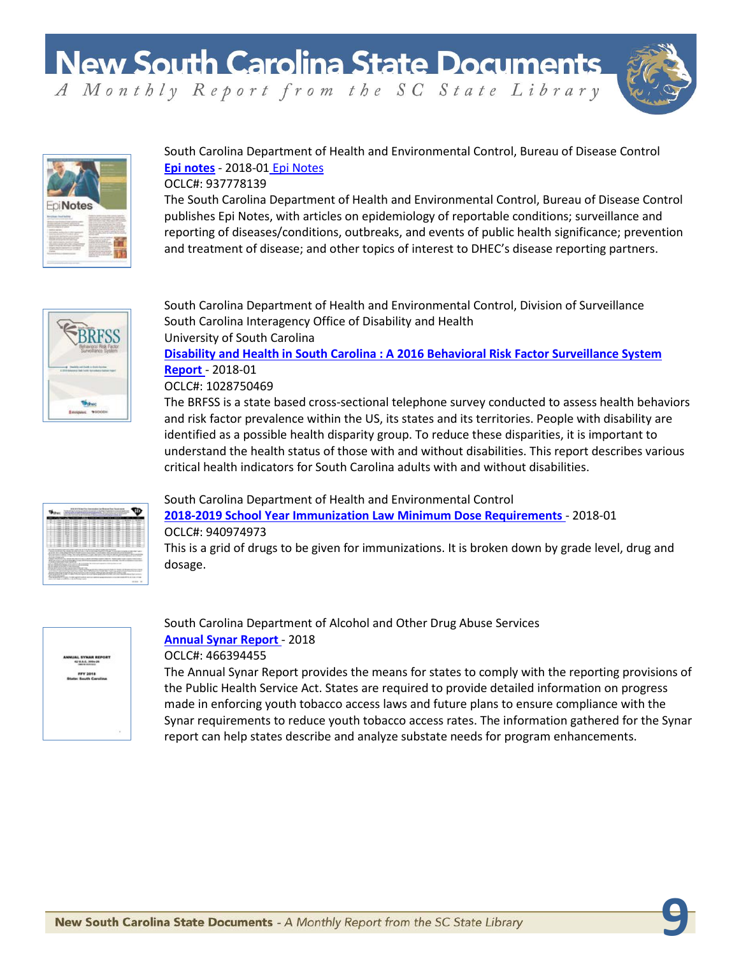

**9**



South Carolina Department of Health and Environmental Control, Bureau of Disease Control **[Epi notes](https://dc.statelibrary.sc.gov/handle/10827/26563)** - 2018-01 [Epi Notes](https://dc.statelibrary.sc.gov/handle/10827/20358)

#### OCLC#: 937778139

The South Carolina Department of Health and Environmental Control, Bureau of Disease Control publishes Epi Notes, with articles on epidemiology of reportable conditions; surveillance and reporting of diseases/conditions, outbreaks, and events of public health significance; prevention and treatment of disease; and other topics of interest to DHEC's disease reporting partners.



South Carolina Department of Health and Environmental Control, Division of Surveillance South Carolina Interagency Office of Disability and Health University of South Carolina

**Disability [and Health in South Carolina : A 2016 Behavioral Risk Factor Surveillance System](https://dc.statelibrary.sc.gov/handle/10827/26577)  [Report](https://dc.statelibrary.sc.gov/handle/10827/26577)** - 2018-01

#### OCLC#: 1028750469

The BRFSS is a state based cross-sectional telephone survey conducted to assess health behaviors and risk factor prevalence within the US, its states and its territories. People with disability are identified as a possible health disparity group. To reduce these disparities, it is important to understand the health status of those with and without disabilities. This report describes various critical health indicators for South Carolina adults with and without disabilities.



#### South Carolina Department of Health and Environmental Control

**[2018-2019 School Year Immunization Law Minimum Dose Requirements](https://dc.statelibrary.sc.gov/handle/10827/26644)** - 2018-01 OCLC#: 940974973

This is a grid of drugs to be given for immunizations. It is broken down by grade level, drug and dosage.



South Carolina Department of Alcohol and Other Drug Abuse Services **[Annual Synar Report](https://dc.statelibrary.sc.gov/handle/10827/26565)** - 2018 OCLC#: 466394455

The Annual Synar Report provides the means for states to comply with the reporting provisions of the Public Health Service Act. States are required to provide detailed information on progress made in enforcing youth tobacco access laws and future plans to ensure compliance with the Synar requirements to reduce youth tobacco access rates. The information gathered for the Synar report can help states describe and analyze substate needs for program enhancements.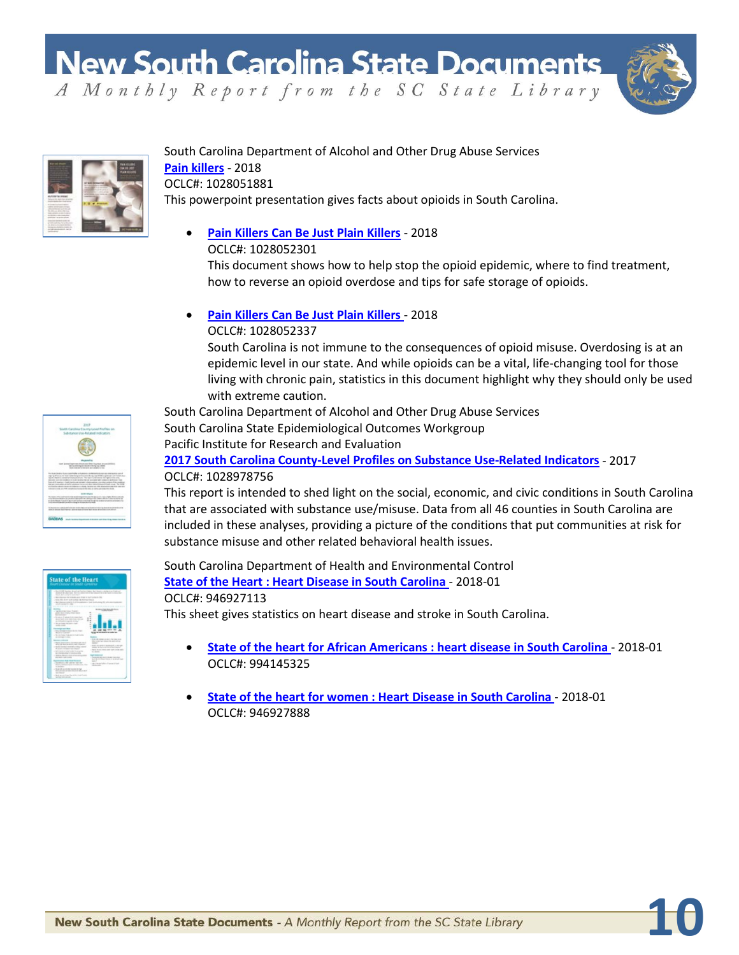

**10**



#### South Carolina Department of Alcohol and Other Drug Abuse Services **[Pain killers](https://dc.statelibrary.sc.gov/handle/10827/26574)** - 2018 OCLC#: 1028051881

This powerpoint presentation gives facts about opioids in South Carolina.

## • **[Pain Killers Can Be Just Plain Killers](https://dc.statelibrary.sc.gov/handle/10827/26575)** - 2018

OCLC#: 1028052301

This document shows how to help stop the opioid epidemic, where to find treatment, how to reverse an opioid overdose and tips for safe storage of opioids.

• **[Pain Killers Can Be Just Plain Killers](https://dc.statelibrary.sc.gov/handle/10827/26576)** - 2018

OCLC#: 1028052337

South Carolina is not immune to the consequences of opioid misuse. Overdosing is at an epidemic level in our state. And while opioids can be a vital, life-changing tool for those living with chronic pain, statistics in this document highlight why they should only be used with extreme caution.

South Carolina Department of Alcohol and Other Drug Abuse Services

South Carolina State Epidemiological Outcomes Workgroup Pacific Institute for Research and Evaluation

#### **[2017 South Carolina County-Level Profiles on Substance Use-Related Indicators](https://dc.statelibrary.sc.gov/handle/10827/26578)** - 2017 OCLC#: 1028978756

This report is intended to shed light on the social, economic, and civic conditions in South Carolina that are associated with substance use/misuse. Data from all 46 counties in South Carolina are included in these analyses, providing a picture of the conditions that put communities at risk for substance misuse and other related behavioral health issues.

| <b>State of the Heart</b><br>Heart Cleaner on Smith Completes                                                                                                                                                                                                                                                                                                                                                                                                                                                                                                                                                                                                                                                                                                                                                                                                                                                                                                                                                                                                                                                                                                                                                                                                                                                                                                                                                                                                                                    |                                                                                                                                                                                                                                                                                                                                                                                                                                   |
|--------------------------------------------------------------------------------------------------------------------------------------------------------------------------------------------------------------------------------------------------------------------------------------------------------------------------------------------------------------------------------------------------------------------------------------------------------------------------------------------------------------------------------------------------------------------------------------------------------------------------------------------------------------------------------------------------------------------------------------------------------------------------------------------------------------------------------------------------------------------------------------------------------------------------------------------------------------------------------------------------------------------------------------------------------------------------------------------------------------------------------------------------------------------------------------------------------------------------------------------------------------------------------------------------------------------------------------------------------------------------------------------------------------------------------------------------------------------------------------------------|-----------------------------------------------------------------------------------------------------------------------------------------------------------------------------------------------------------------------------------------------------------------------------------------------------------------------------------------------------------------------------------------------------------------------------------|
| character is an in the collection base in the control of the collection<br>Auto F. B. Auction, School and concentrate department and California report<br>the at the control and control<br>- Hallmore as the increase are in last a last fundacte that<br>- Scott 1933, three duck curricule and characterized<br>- But characterized in 100 to estimate a last both of<br>single constant in the<br><b>SHARA</b><br>- Technical Court Printers<br>plane days share change of the following<br><b>Contract</b><br>a 25 mins 4 15 whose distinguished<br>dealer the first of the control to an open and<br>an interdent grant comp.<br>1. The carrying at the count of fund-<br><b>COLOR</b><br>drawing largest days<br>a data composition data da fat d'après<br>William Concert<br>t<br>L. Marie Police, Francisco e Policies<br>accessive content<br>Linker Percy and come<br><b>STATISTICS</b><br>whether the state of the same and a fundament<br>1-10 show include a student of mergin lastice<br>A score children has been<br>a child in the desired in the first factor of a contract that is a<br><b>RECORD BEFORE THE PACKAGE</b><br>- NATION REGULATION AND A<br>and come the model complete.<br><b><i>Excellenta Saleman</i></b><br>Like morning carrying<br>persons with documentation of<br>or insurance<br>Little of all the formation of<br>percentage actual frames against and<br>ALC: NO AVE AT<br>a climate the control manufacturated in the staff<br>with a color service. | <b><i><u><i><u><b>DESERVENTS</b></u></i></u></i></b><br>- And only states on the information<br>\$3.000 tel: \$50.00 detroits<br><b>STATE</b><br>- This or presented under this of<br>dealer of the scientists when the com-<br><b>CARD AREA</b><br>$\sim$ and $\sim$<br>a decoration of the country decided them them.<br>to 1 th 10 Police Station & Middle Life by<br>--<br>- No characteristics in acceptance<br><b>COLOR</b> |

#### South Carolina Department of Health and Environmental Control **[State of the Heart : Heart Disease in South Carolina](https://dc.statelibrary.sc.gov/handle/10827/26711)** - 2018-01 OCLC#: 946927113 This sheet gives statistics on heart disease and stroke in South Carolina.

- **[State of the heart for African Americans : heart disease in South Carolina](https://dc.statelibrary.sc.gov/handle/10827/26717)** 2018-01 OCLC#: 994145325
- **[State of the heart for women : Heart Disease in South Carolina](https://dc.statelibrary.sc.gov/handle/10827/26718)** 2018-01 OCLC#: 946927888

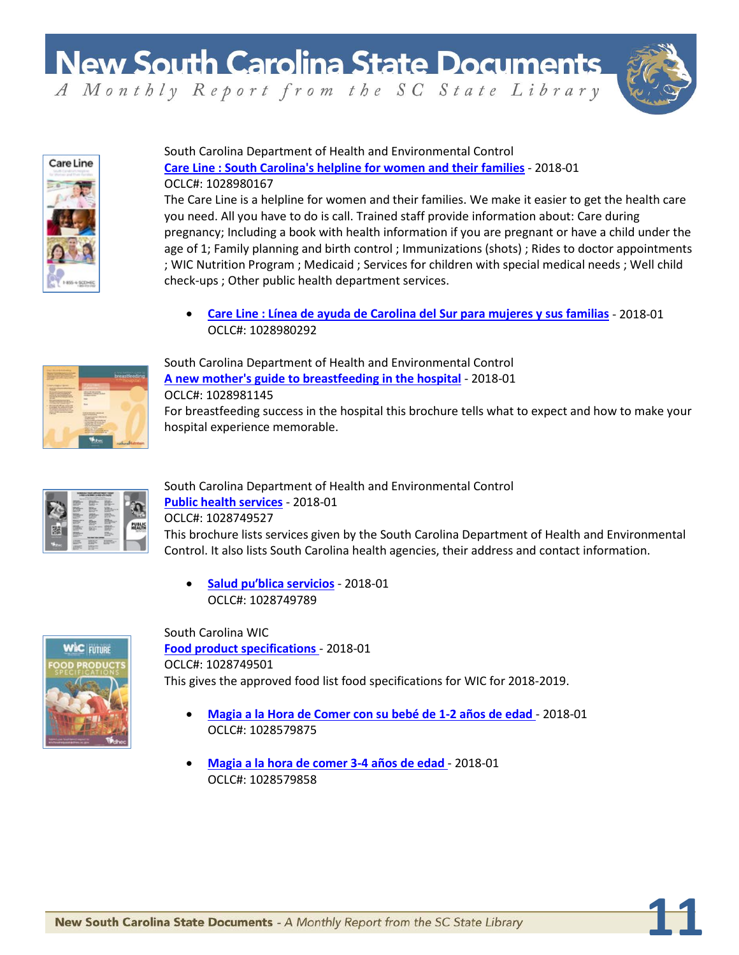

**11**



South Carolina Department of Health and Environmental Control **[Care Line : South Carolina's helpline for women and their families](https://dc.statelibrary.sc.gov/handle/10827/26702)** - 2018-01 OCLC#: 1028980167

The Care Line is a helpline for women and their families. We make it easier to get the health care you need. All you have to do is call. Trained staff provide information about: Care during pregnancy; Including a book with health information if you are pregnant or have a child under the age of 1; Family planning and birth control ; Immunizations (shots) ; Rides to doctor appointments ; WIC Nutrition Program ; Medicaid ; Services for children with special medical needs ; Well child check-ups ; Other public health department services.

• **[Care Line : Línea de ayuda de Carolina del Sur para mujeres y sus familias](https://dc.statelibrary.sc.gov/handle/10827/26704)** - 2018-01 OCLC#: 1028980292



South Carolina Department of Health and Environmental Control **[A new mother's guide to breastfeeding in the hospital](https://dc.statelibrary.sc.gov/handle/10827/26700)** - 2018-01 OCLC#: 1028981145 For breastfeeding success in the hospital this brochure tells what to expect and how to make your hospital experience memorable.



South Carolina Department of Health and Environmental Control **[Public health services](https://dc.statelibrary.sc.gov/handle/10827/26708)** - 2018-01 OCLC#: 1028749527 This brochure lists services given by the South Carolina Department of Health and Environmental Control. It also lists South Carolina health agencies, their address and contact information.

• **[Salud puʹblica servic](https://dc.statelibrary.sc.gov/handle/10827/26710)ios** - 2018-01 OCLC#: 1028749789



South Carolina WIC **[Food product specifications](https://dc.statelibrary.sc.gov/handle/10827/26719)** - 2018-01 OCLC#: 1028749501 This gives the approved food list food specifications for WIC for 2018-2019.

- **[Magia a la Hora de Comer con su bebé de 1-2 años de edad](https://dc.statelibrary.sc.gov/handle/10827/26720)** 2018-01 OCLC#: 1028579875
- **[Magia a la hora de comer 3-4 años de edad](https://dc.statelibrary.sc.gov/handle/10827/26721)** 2018-01 OCLC#: 1028579858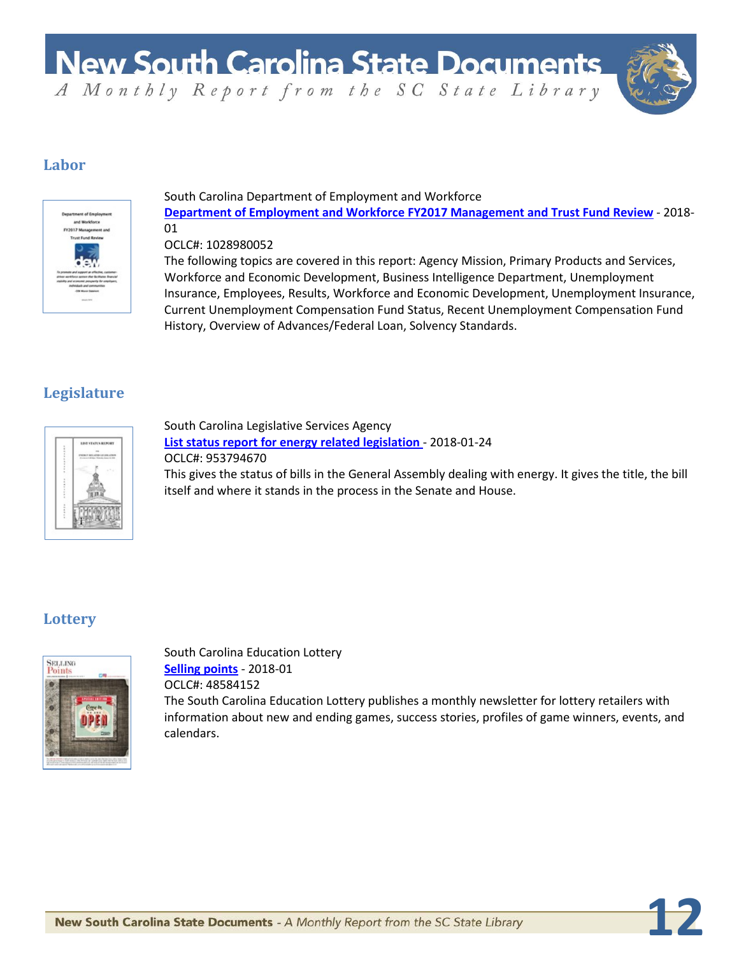

**12**

### **Labor**



#### South Carolina Department of Employment and Workforce **[Department of Employment and Workforce FY2017 Management and Trust Fund Review](https://dc.statelibrary.sc.gov/handle/10827/26635)** - 2018- 01

#### OCLC#: 1028980052

The following topics are covered in this report: Agency Mission, Primary Products and Services, Workforce and Economic Development, Business Intelligence Department, Unemployment Insurance, Employees, Results, Workforce and Economic Development, Unemployment Insurance, Current Unemployment Compensation Fund Status, Recent Unemployment Compensation Fund History, Overview of Advances/Federal Loan, Solvency Standards.

## **Legislature**



South Carolina Legislative Services Agency **[List status report for energy related legislation](https://dc.statelibrary.sc.gov/handle/10827/26568)** - 2018-01-24 OCLC#: 953794670 This gives the status of bills in the General Assembly dealing with energy. It gives the title, the bill itself and where it stands in the process in the Senate and House.

## **Lottery**



South Carolina Education Lottery **[Selling points](https://dc.statelibrary.sc.gov/handle/10827/26512)** - 2018-01 OCLC#: 48584152 The South Carolina Education Lottery publishes a monthly newsletter for lottery retailers with information about new and ending games, success stories, profiles of game winners, events, and calendars.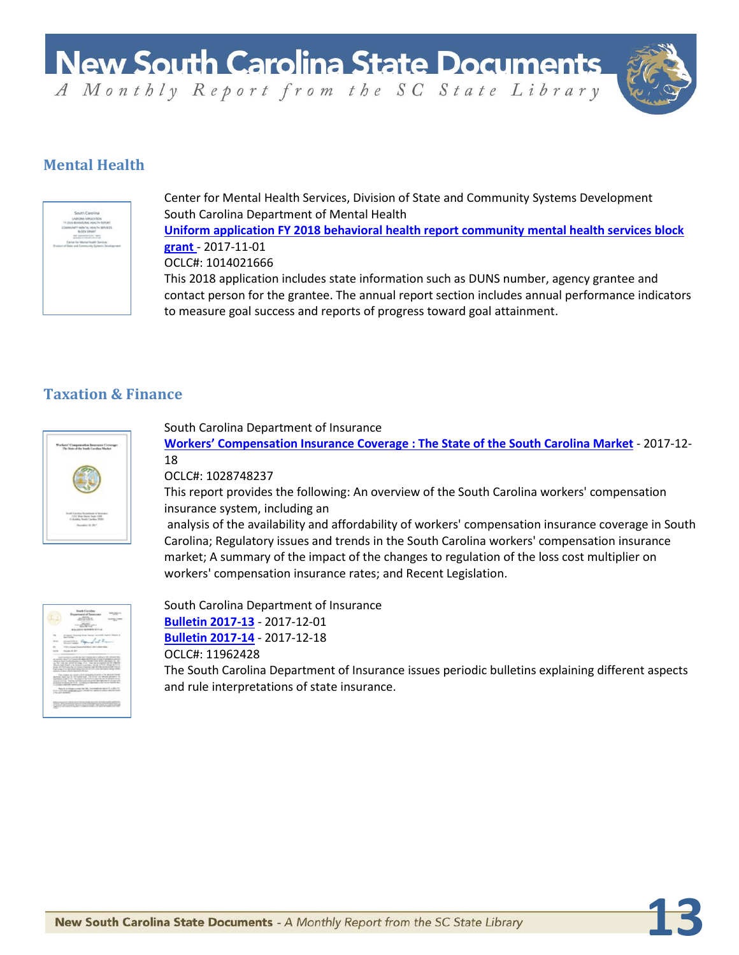

**13**

## **Mental Health**



Center for Mental Health Services, Division of State and Community Systems Development South Carolina Department of Mental Health **[Uniform application FY 2018 behavioral health report community mental health services block](https://dc.statelibrary.sc.gov/handle/10827/26645)  [grant](https://dc.statelibrary.sc.gov/handle/10827/26645)** - 2017-11-01 OCLC#: 1014021666 This 2018 application includes state information such as DUNS number, agency grantee and contact person for the grantee. The annual report section includes annual performance indicators to measure goal success and reports of progress toward goal attainment.

### **Taxation & Finance**



#### South Carolina Department of Insurance

**[Workers' Compensation Insurance Coverage : The State of the South Carolina Market](https://dc.statelibrary.sc.gov/handle/10827/26569)** - 2017-12- 18

#### OCLC#: 1028748237

This report provides the following: An overview of the South Carolina workers' compensation insurance system, including an

analysis of the availability and affordability of workers' compensation insurance coverage in South Carolina; Regulatory issues and trends in the South Carolina workers' compensation insurance market; A summary of the impact of the changes to regulation of the loss cost multiplier on workers' compensation insurance rates; and Recent Legislation.



South Carolina Department of Insurance **[Bulletin 2017-13](https://dc.statelibrary.sc.gov/handle/10827/26571)** - 2017-12-01 **[Bulletin 2017-14](https://dc.statelibrary.sc.gov/handle/10827/26572)** - 2017-12-18 OCLC#: 11962428

The South Carolina Department of Insurance issues periodic bulletins explaining different aspects and rule interpretations of state insurance.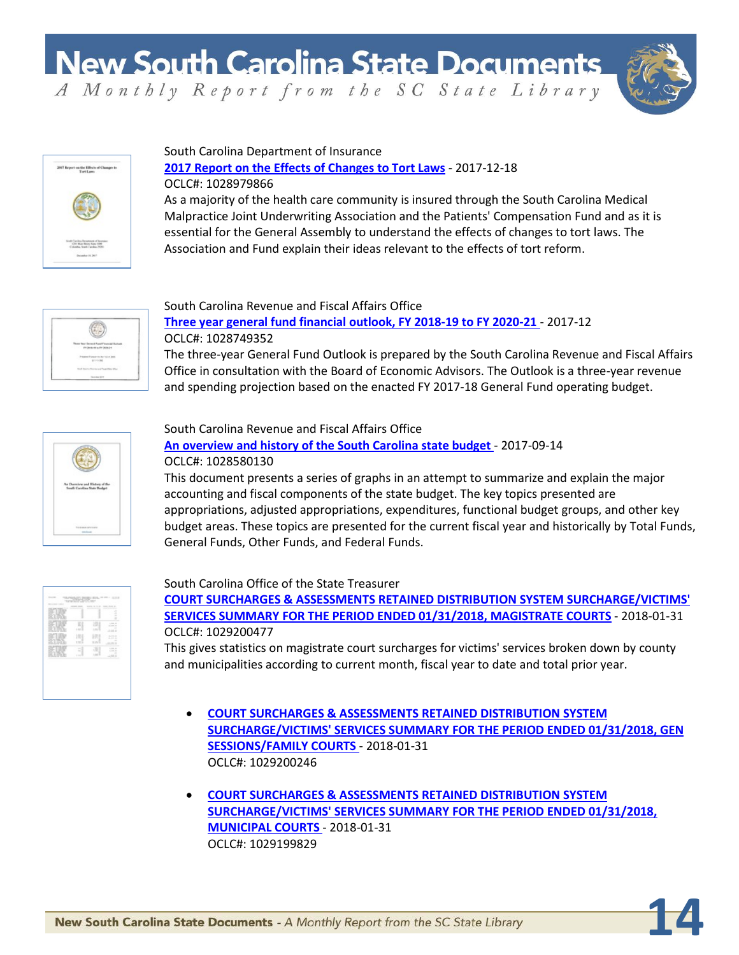

**14**



#### South Carolina Department of Insurance

#### **[2017 Report on the Effects of Changes to Tort Laws](https://dc.statelibrary.sc.gov/handle/10827/26634)** - 2017-12-18 OCLC#: 1028979866

As a majority of the health care community is insured through the South Carolina Medical Malpractice Joint Underwriting Association and the Patients' Compensation Fund and as it is essential for the General Assembly to understand the effects of changes to tort laws. The Association and Fund explain their ideas relevant to the effects of tort reform.



#### South Carolina Revenue and Fiscal Affairs Office

**[Three year general fund financial outlook, FY 2018-19 to FY 2020-21](https://dc.statelibrary.sc.gov/handle/10827/26570)** - 2017-12 OCLC#: 1028749352 The three-year General Fund Outlook is prepared by the South Carolina Revenue and Fiscal Affairs Office in consultation with the Board of Economic Advisors. The Outlook is a three-year revenue

and spending projection based on the enacted FY 2017-18 General Fund operating budget.



#### South Carolina Revenue and Fiscal Affairs Office **[An overview and history of the South Carolina state budget](https://dc.statelibrary.sc.gov/handle/10827/26573)** - 2017-09-14 OCLC#: 1028580130

This document presents a series of graphs in an attempt to summarize and explain the major accounting and fiscal components of the state budget. The key topics presented are appropriations, adjusted appropriations, expenditures, functional budget groups, and other key budget areas. These topics are presented for the current fiscal year and historically by Total Funds, General Funds, Other Funds, and Federal Funds.

|                         | ä<br><b>STATE OF</b><br>---<br>$\sim$       |
|-------------------------|---------------------------------------------|
| š<br><b>LTD</b>         | <b>SCHOOL</b><br>$-111$<br>- 2<br>11.2      |
| $\sim$<br>-<br>$\cdots$ | --<br>1,000,000<br>1,11.11<br>$\sim$<br>ari |

#### South Carolina Office of the State Treasurer

**[COURT SURCHARGES & ASSESSMENTS RETAINED DISTRIBUTION SYSTEM SURCHARGE/VICTIMS'](https://dc.statelibrary.sc.gov/handle/10827/26662)  [SERVICES SUMMARY FOR THE PERIOD ENDED 01/31/2018, MAGISTRATE COURTS](https://dc.statelibrary.sc.gov/handle/10827/26662)** - 2018-01-31 OCLC#: 1029200477

This gives statistics on magistrate court surcharges for victims' services broken down by county and municipalities according to current month, fiscal year to date and total prior year.

- **[COURT SURCHARGES & ASSESSMENTS RETAINED DISTRIBUTION SYSTEM](https://dc.statelibrary.sc.gov/handle/10827/26661)  [SURCHARGE/VICTIMS' SERVICES SUMMARY FOR THE PERIOD ENDED 01/31/2018, GEN](https://dc.statelibrary.sc.gov/handle/10827/26661)  [SESSIONS/FAMILY COURTS](https://dc.statelibrary.sc.gov/handle/10827/26661)** - 2018-01-31 OCLC#: 1029200246
- **[COURT SURCHARGES & ASSESSMENTS RETAINED DISTRIBUTION SYSTEM](https://dc.statelibrary.sc.gov/handle/10827/26660)  [SURCHARGE/VICTIMS' SERVICES SUMMARY FOR THE PERIOD ENDED 01/31/2018,](https://dc.statelibrary.sc.gov/handle/10827/26660)  [MUNICIPAL COURTS](https://dc.statelibrary.sc.gov/handle/10827/26660)** - 2018-01-31 OCLC#: 1029199829